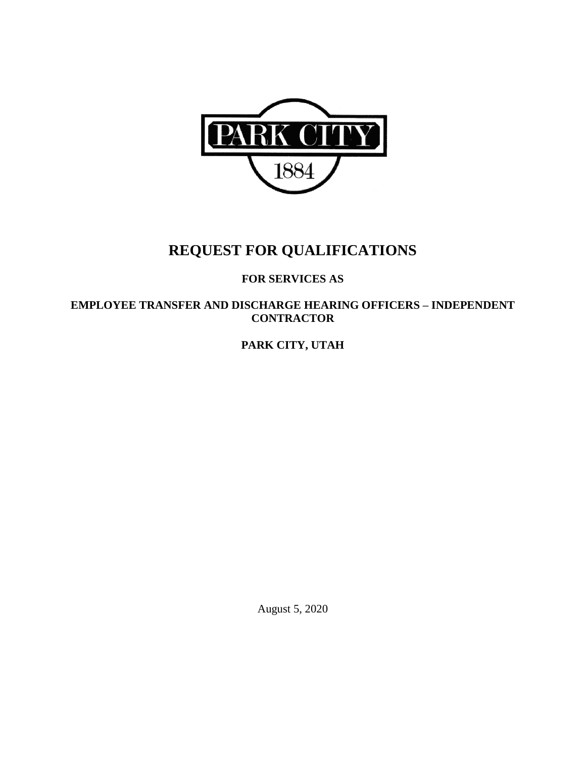

# **REQUEST FOR QUALIFICATIONS**

## **FOR SERVICES AS**

**EMPLOYEE TRANSFER AND DISCHARGE HEARING OFFICERS – INDEPENDENT CONTRACTOR**

**PARK CITY, UTAH** 

August 5, 2020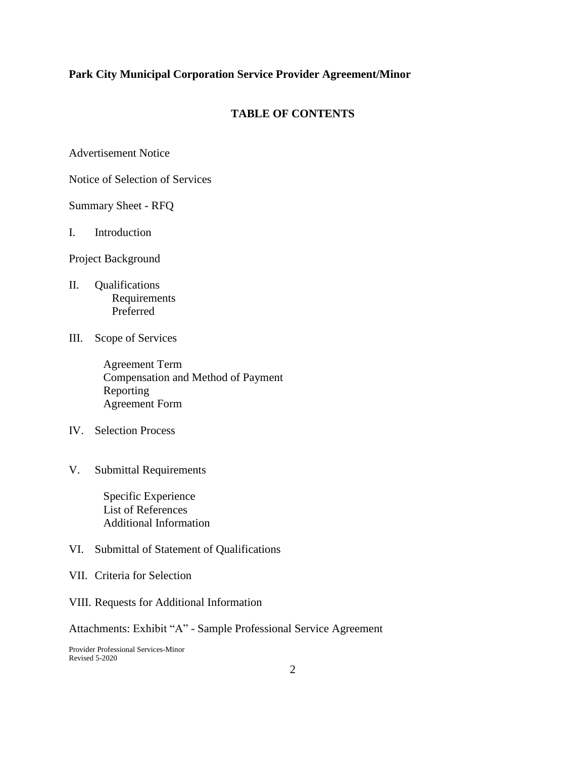#### **TABLE OF CONTENTS**

Advertisement Notice

Notice of Selection of Services

Summary Sheet - RFQ

I. Introduction

Project Background

- II. Qualifications Requirements Preferred
- III. Scope of Services

 Agreement Term Compensation and Method of Payment Reporting Agreement Form

- IV. Selection Process
- V. Submittal Requirements

 Specific Experience List of References Additional Information

- VI. Submittal of Statement of Qualifications
- VII. Criteria for Selection
- VIII. Requests for Additional Information

Attachments: Exhibit "A" - Sample Professional Service Agreement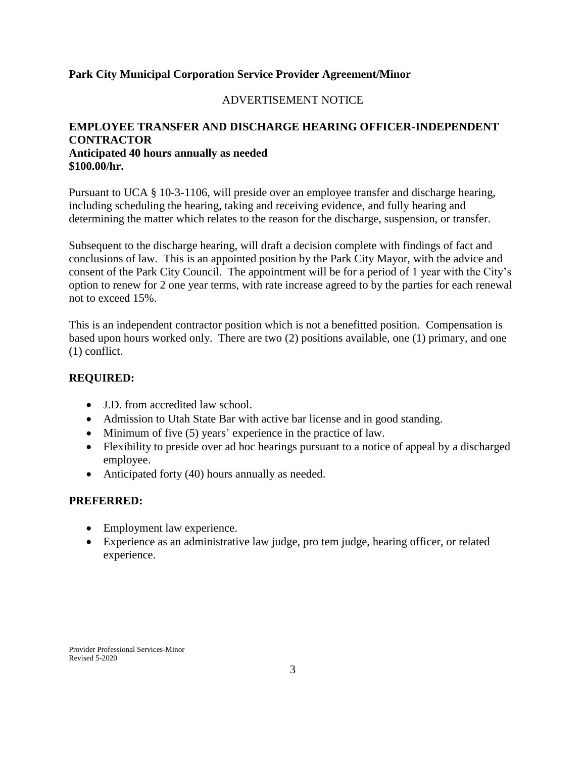#### ADVERTISEMENT NOTICE

## **EMPLOYEE TRANSFER AND DISCHARGE HEARING OFFICER-INDEPENDENT CONTRACTOR Anticipated 40 hours annually as needed \$100.00/hr.**

Pursuant to UCA § 10-3-1106, will preside over an employee transfer and discharge hearing, including scheduling the hearing, taking and receiving evidence, and fully hearing and determining the matter which relates to the reason for the discharge, suspension, or transfer.

Subsequent to the discharge hearing, will draft a decision complete with findings of fact and conclusions of law. This is an appointed position by the Park City Mayor, with the advice and consent of the Park City Council. The appointment will be for a period of 1 year with the City's option to renew for 2 one year terms, with rate increase agreed to by the parties for each renewal not to exceed 15%.

This is an independent contractor position which is not a benefitted position. Compensation is based upon hours worked only. There are two (2) positions available, one (1) primary, and one (1) conflict.

#### **REQUIRED:**

- J.D. from accredited law school.
- Admission to Utah State Bar with active bar license and in good standing.
- $\bullet$  Minimum of five (5) years' experience in the practice of law.
- Flexibility to preside over ad hoc hearings pursuant to a notice of appeal by a discharged employee.
- Anticipated forty (40) hours annually as needed.

#### **PREFERRED:**

- Employment law experience.
- Experience as an administrative law judge, pro tem judge, hearing officer, or related experience.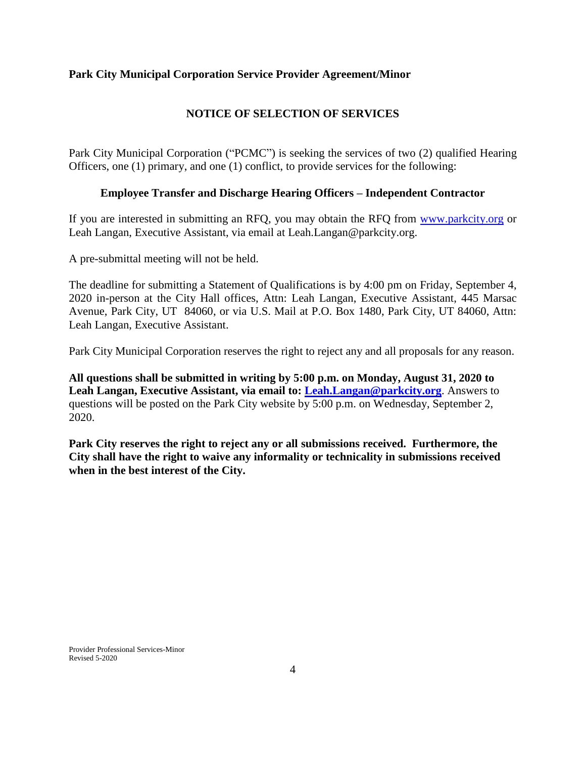## **NOTICE OF SELECTION OF SERVICES**

Park City Municipal Corporation ("PCMC") is seeking the services of two (2) qualified Hearing Officers, one (1) primary, and one (1) conflict, to provide services for the following:

#### **Employee Transfer and Discharge Hearing Officers – Independent Contractor**

If you are interested in submitting an RFQ, you may obtain the RFQ from [www.parkcity.org](http://www.parkcity.org/) or Leah Langan, Executive Assistant, via email at Leah.Langan@parkcity.org.

A pre-submittal meeting will not be held.

The deadline for submitting a Statement of Qualifications is by 4:00 pm on Friday, September 4, 2020 in-person at the City Hall offices, Attn: Leah Langan, Executive Assistant, 445 Marsac Avenue, Park City, UT 84060, or via U.S. Mail at P.O. Box 1480, Park City, UT 84060, Attn: Leah Langan, Executive Assistant.

Park City Municipal Corporation reserves the right to reject any and all proposals for any reason.

**All questions shall be submitted in writing by 5:00 p.m. on Monday, August 31, 2020 to Leah Langan, Executive Assistant, via email to: [Leah.Langan@parkcity.org](mailto:Leah.Langan@parkcity.org)**. Answers to questions will be posted on the Park City website by 5:00 p.m. on Wednesday, September 2, 2020.

**Park City reserves the right to reject any or all submissions received. Furthermore, the City shall have the right to waive any informality or technicality in submissions received when in the best interest of the City.**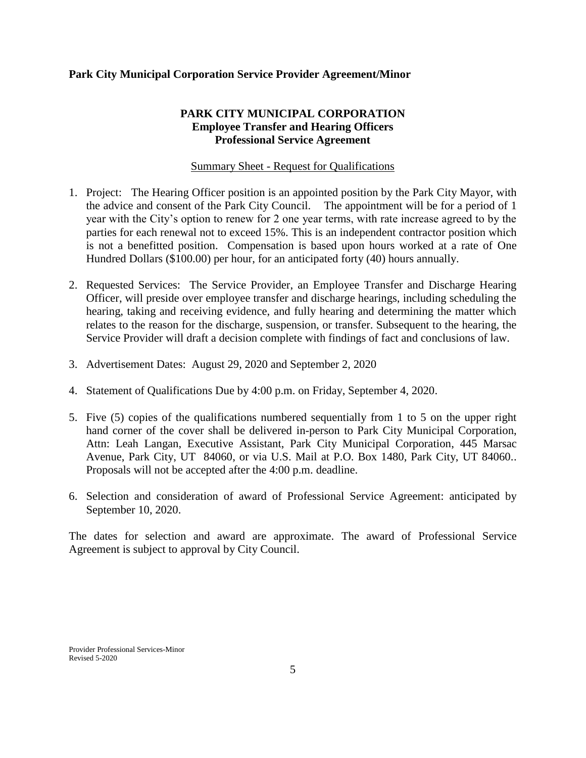## **PARK CITY MUNICIPAL CORPORATION Employee Transfer and Hearing Officers Professional Service Agreement**

#### Summary Sheet - Request for Qualifications

- 1. Project: The Hearing Officer position is an appointed position by the Park City Mayor, with the advice and consent of the Park City Council. The appointment will be for a period of 1 year with the City's option to renew for 2 one year terms, with rate increase agreed to by the parties for each renewal not to exceed 15%. This is an independent contractor position which is not a benefitted position. Compensation is based upon hours worked at a rate of One Hundred Dollars (\$100.00) per hour, for an anticipated forty (40) hours annually.
- 2. Requested Services: The Service Provider, an Employee Transfer and Discharge Hearing Officer, will preside over employee transfer and discharge hearings, including scheduling the hearing, taking and receiving evidence, and fully hearing and determining the matter which relates to the reason for the discharge, suspension, or transfer. Subsequent to the hearing, the Service Provider will draft a decision complete with findings of fact and conclusions of law.
- 3. Advertisement Dates: August 29, 2020 and September 2, 2020
- 4. Statement of Qualifications Due by 4:00 p.m. on Friday, September 4, 2020.
- 5. Five (5) copies of the qualifications numbered sequentially from 1 to 5 on the upper right hand corner of the cover shall be delivered in-person to Park City Municipal Corporation, Attn: Leah Langan, Executive Assistant, Park City Municipal Corporation, 445 Marsac Avenue, Park City, UT 84060, or via U.S. Mail at P.O. Box 1480, Park City, UT 84060.. Proposals will not be accepted after the 4:00 p.m. deadline.
- 6. Selection and consideration of award of Professional Service Agreement: anticipated by September 10, 2020.

The dates for selection and award are approximate. The award of Professional Service Agreement is subject to approval by City Council.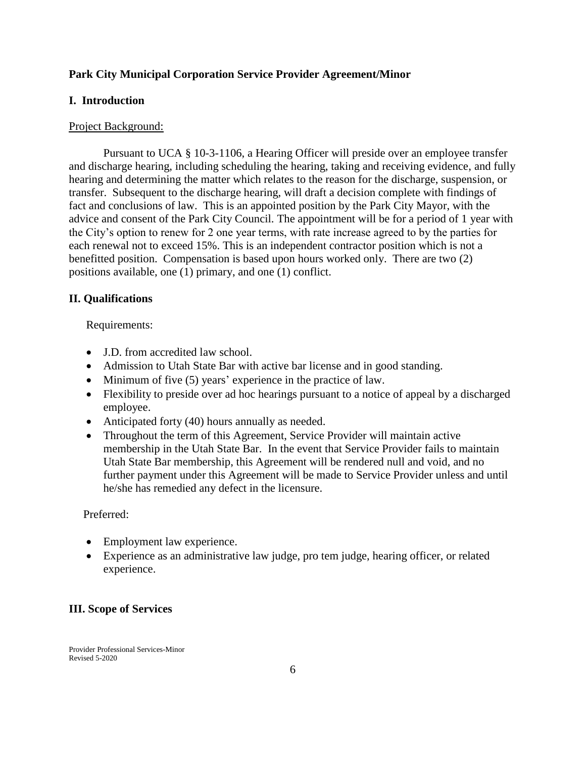#### **I. Introduction**

#### Project Background:

Pursuant to UCA § 10-3-1106, a Hearing Officer will preside over an employee transfer and discharge hearing, including scheduling the hearing, taking and receiving evidence, and fully hearing and determining the matter which relates to the reason for the discharge, suspension, or transfer. Subsequent to the discharge hearing, will draft a decision complete with findings of fact and conclusions of law. This is an appointed position by the Park City Mayor, with the advice and consent of the Park City Council. The appointment will be for a period of 1 year with the City's option to renew for 2 one year terms, with rate increase agreed to by the parties for each renewal not to exceed 15%. This is an independent contractor position which is not a benefitted position. Compensation is based upon hours worked only. There are two (2) positions available, one (1) primary, and one (1) conflict.

#### **II. Qualifications**

#### Requirements:

- J.D. from accredited law school.
- Admission to Utah State Bar with active bar license and in good standing.
- Minimum of five (5) years' experience in the practice of law.
- Flexibility to preside over ad hoc hearings pursuant to a notice of appeal by a discharged employee.
- Anticipated forty (40) hours annually as needed.
- Throughout the term of this Agreement, Service Provider will maintain active membership in the Utah State Bar. In the event that Service Provider fails to maintain Utah State Bar membership, this Agreement will be rendered null and void, and no further payment under this Agreement will be made to Service Provider unless and until he/she has remedied any defect in the licensure.

#### Preferred:

- Employment law experience.
- Experience as an administrative law judge, pro tem judge, hearing officer, or related experience.

#### **III. Scope of Services**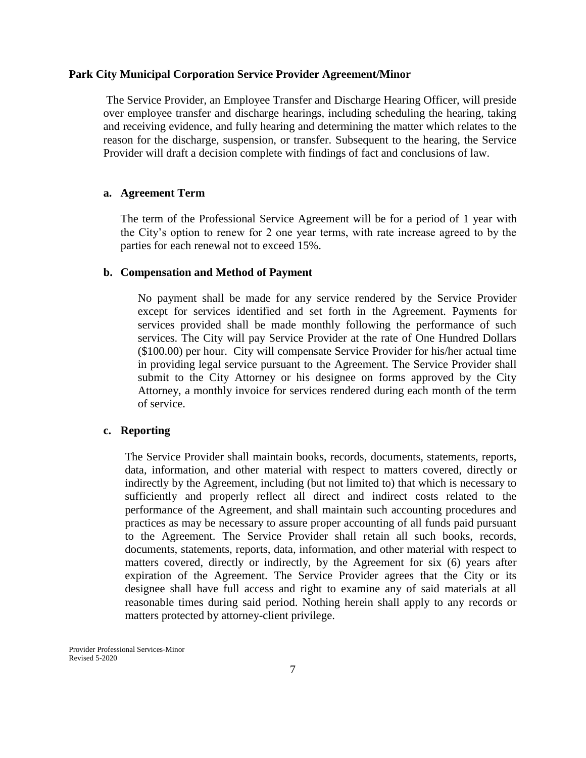The Service Provider, an Employee Transfer and Discharge Hearing Officer, will preside over employee transfer and discharge hearings, including scheduling the hearing, taking and receiving evidence, and fully hearing and determining the matter which relates to the reason for the discharge, suspension, or transfer. Subsequent to the hearing, the Service Provider will draft a decision complete with findings of fact and conclusions of law.

#### **a. Agreement Term**

The term of the Professional Service Agreement will be for a period of 1 year with the City's option to renew for 2 one year terms, with rate increase agreed to by the parties for each renewal not to exceed 15%.

#### **b. Compensation and Method of Payment**

No payment shall be made for any service rendered by the Service Provider except for services identified and set forth in the Agreement. Payments for services provided shall be made monthly following the performance of such services. The City will pay Service Provider at the rate of One Hundred Dollars (\$100.00) per hour. City will compensate Service Provider for his/her actual time in providing legal service pursuant to the Agreement. The Service Provider shall submit to the City Attorney or his designee on forms approved by the City Attorney, a monthly invoice for services rendered during each month of the term of service.

#### **c. Reporting**

The Service Provider shall maintain books, records, documents, statements, reports, data, information, and other material with respect to matters covered, directly or indirectly by the Agreement, including (but not limited to) that which is necessary to sufficiently and properly reflect all direct and indirect costs related to the performance of the Agreement, and shall maintain such accounting procedures and practices as may be necessary to assure proper accounting of all funds paid pursuant to the Agreement. The Service Provider shall retain all such books, records, documents, statements, reports, data, information, and other material with respect to matters covered, directly or indirectly, by the Agreement for six (6) years after expiration of the Agreement. The Service Provider agrees that the City or its designee shall have full access and right to examine any of said materials at all reasonable times during said period. Nothing herein shall apply to any records or matters protected by attorney-client privilege.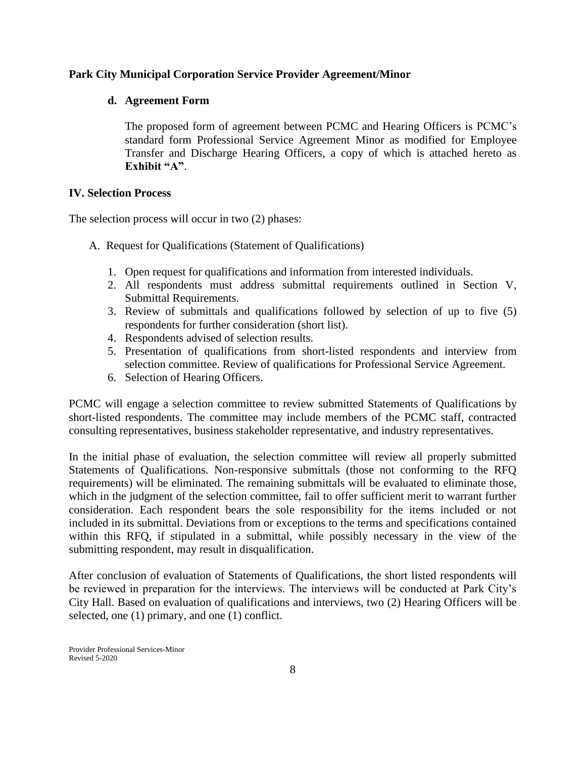#### **d. Agreement Form**

The proposed form of agreement between PCMC and Hearing Officers is PCMC's standard form Professional Service Agreement Minor as modified for Employee Transfer and Discharge Hearing Officers, a copy of which is attached hereto as **Exhibit "A"**.

#### **IV. Selection Process**

The selection process will occur in two (2) phases:

- A. Request for Qualifications (Statement of Qualifications)
	- 1. Open request for qualifications and information from interested individuals.
	- 2. All respondents must address submittal requirements outlined in Section V, Submittal Requirements.
	- 3. Review of submittals and qualifications followed by selection of up to five (5) respondents for further consideration (short list).
	- 4. Respondents advised of selection results.
	- 5. Presentation of qualifications from short-listed respondents and interview from selection committee. Review of qualifications for Professional Service Agreement.
	- 6. Selection of Hearing Officers.

PCMC will engage a selection committee to review submitted Statements of Qualifications by short-listed respondents. The committee may include members of the PCMC staff, contracted consulting representatives, business stakeholder representative, and industry representatives.

In the initial phase of evaluation, the selection committee will review all properly submitted Statements of Qualifications. Non-responsive submittals (those not conforming to the RFQ requirements) will be eliminated. The remaining submittals will be evaluated to eliminate those, which in the judgment of the selection committee, fail to offer sufficient merit to warrant further consideration. Each respondent bears the sole responsibility for the items included or not included in its submittal. Deviations from or exceptions to the terms and specifications contained within this RFQ, if stipulated in a submittal, while possibly necessary in the view of the submitting respondent, may result in disqualification.

After conclusion of evaluation of Statements of Qualifications, the short listed respondents will be reviewed in preparation for the interviews. The interviews will be conducted at Park City's City Hall. Based on evaluation of qualifications and interviews, two (2) Hearing Officers will be selected, one (1) primary, and one (1) conflict.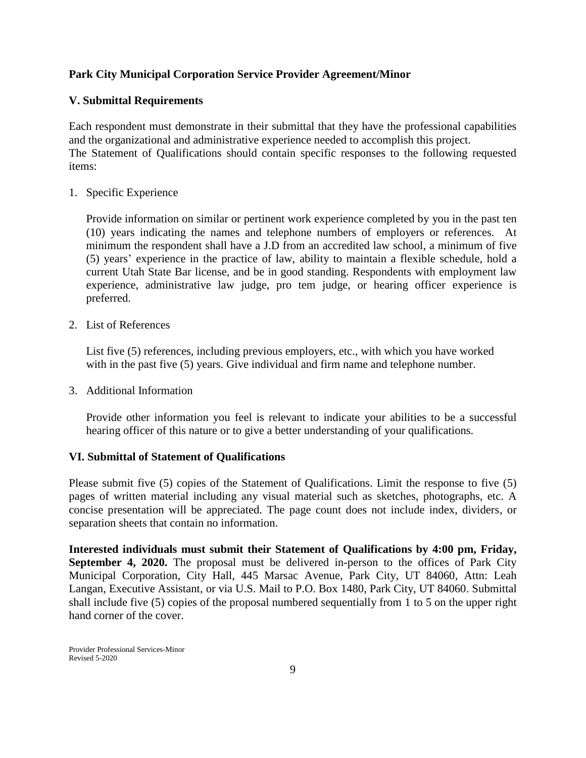## **V. Submittal Requirements**

Each respondent must demonstrate in their submittal that they have the professional capabilities and the organizational and administrative experience needed to accomplish this project. The Statement of Qualifications should contain specific responses to the following requested items:

1. Specific Experience

Provide information on similar or pertinent work experience completed by you in the past ten (10) years indicating the names and telephone numbers of employers or references. At minimum the respondent shall have a J.D from an accredited law school, a minimum of five (5) years' experience in the practice of law, ability to maintain a flexible schedule, hold a current Utah State Bar license, and be in good standing. Respondents with employment law experience, administrative law judge, pro tem judge, or hearing officer experience is preferred.

2. List of References

List five (5) references, including previous employers, etc., with which you have worked with in the past five (5) years. Give individual and firm name and telephone number.

3. Additional Information

Provide other information you feel is relevant to indicate your abilities to be a successful hearing officer of this nature or to give a better understanding of your qualifications*.*

## **VI. Submittal of Statement of Qualifications**

Please submit five (5) copies of the Statement of Qualifications. Limit the response to five (5) pages of written material including any visual material such as sketches, photographs, etc. A concise presentation will be appreciated. The page count does not include index, dividers, or separation sheets that contain no information.

**Interested individuals must submit their Statement of Qualifications by 4:00 pm, Friday, September 4, 2020.** The proposal must be delivered in-person to the offices of Park City Municipal Corporation, City Hall, 445 Marsac Avenue, Park City, UT 84060, Attn: Leah Langan, Executive Assistant, or via U.S. Mail to P.O. Box 1480, Park City, UT 84060. Submittal shall include five (5) copies of the proposal numbered sequentially from 1 to 5 on the upper right hand corner of the cover.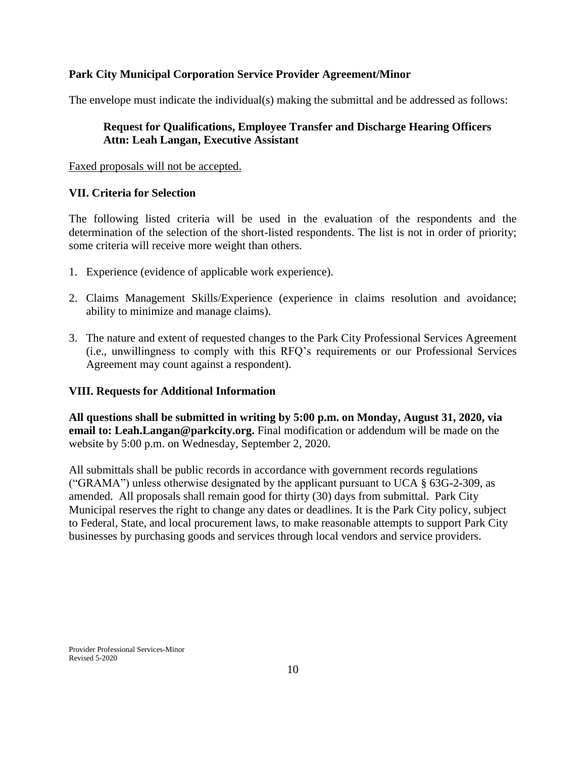The envelope must indicate the individual(s) making the submittal and be addressed as follows:

## **Request for Qualifications, Employee Transfer and Discharge Hearing Officers Attn: Leah Langan, Executive Assistant**

#### Faxed proposals will not be accepted.

#### **VII. Criteria for Selection**

The following listed criteria will be used in the evaluation of the respondents and the determination of the selection of the short-listed respondents. The list is not in order of priority; some criteria will receive more weight than others.

- 1. Experience (evidence of applicable work experience).
- 2. Claims Management Skills/Experience (experience in claims resolution and avoidance; ability to minimize and manage claims).
- 3. The nature and extent of requested changes to the Park City Professional Services Agreement (i.e., unwillingness to comply with this RFQ's requirements or our Professional Services Agreement may count against a respondent).

#### **VIII. Requests for Additional Information**

**All questions shall be submitted in writing by 5:00 p.m. on Monday, August 31, 2020, via email to: Leah.Langan@parkcity.org.** Final modification or addendum will be made on the website by 5:00 p.m. on Wednesday, September 2, 2020.

All submittals shall be public records in accordance with government records regulations ("GRAMA") unless otherwise designated by the applicant pursuant to UCA  $\S$  63G-2-309, as amended. All proposals shall remain good for thirty (30) days from submittal. Park City Municipal reserves the right to change any dates or deadlines. It is the Park City policy, subject to Federal, State, and local procurement laws, to make reasonable attempts to support Park City businesses by purchasing goods and services through local vendors and service providers.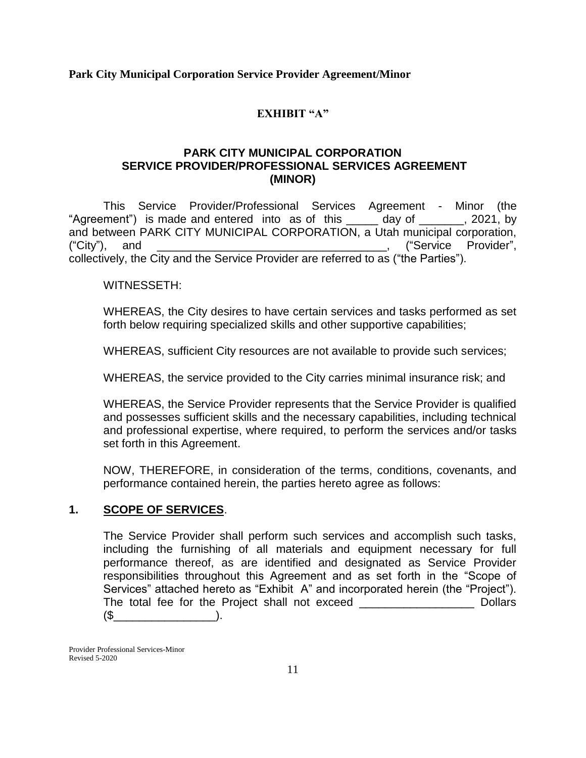## **EXHIBIT "A"**

## **PARK CITY MUNICIPAL CORPORATION SERVICE PROVIDER/PROFESSIONAL SERVICES AGREEMENT (MINOR)**

This Service Provider/Professional Services Agreement - Minor (the "Agreement") is made and entered into as of this \_\_\_\_\_ day of \_\_\_\_\_\_\_, 2021, by and between PARK CITY MUNICIPAL CORPORATION, a Utah municipal corporation, ("City"), and \_\_\_\_\_\_\_\_\_\_\_\_\_\_\_\_\_\_\_\_\_\_\_\_\_\_\_\_\_\_\_\_\_\_\_\_, ("Service Provider", collectively, the City and the Service Provider are referred to as ("the Parties").

WITNESSETH:

WHEREAS, the City desires to have certain services and tasks performed as set forth below requiring specialized skills and other supportive capabilities;

WHEREAS, sufficient City resources are not available to provide such services;

WHEREAS, the service provided to the City carries minimal insurance risk; and

WHEREAS, the Service Provider represents that the Service Provider is qualified and possesses sufficient skills and the necessary capabilities, including technical and professional expertise, where required, to perform the services and/or tasks set forth in this Agreement.

NOW, THEREFORE, in consideration of the terms, conditions, covenants, and performance contained herein, the parties hereto agree as follows:

#### **1. SCOPE OF SERVICES**.

The Service Provider shall perform such services and accomplish such tasks, including the furnishing of all materials and equipment necessary for full performance thereof, as are identified and designated as Service Provider responsibilities throughout this Agreement and as set forth in the "Scope of Services" attached hereto as "Exhibit A" and incorporated herein (the "Project"). The total fee for the Project shall not exceed \_\_\_\_\_\_\_\_\_\_\_\_\_\_\_\_\_\_ Dollars  $($ \$  $)$ .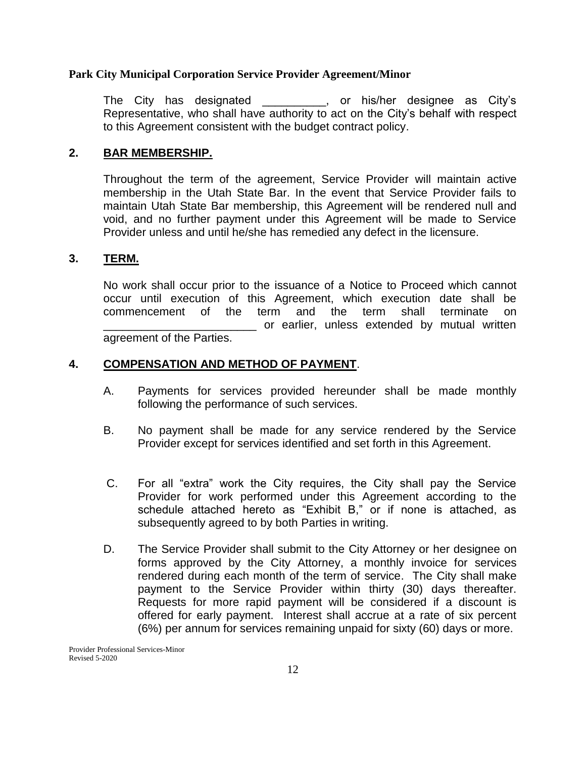The City has designated The Stringhender City's Representative, who shall have authority to act on the City's behalf with respect to this Agreement consistent with the budget contract policy.

#### **2. BAR MEMBERSHIP.**

Throughout the term of the agreement, Service Provider will maintain active membership in the Utah State Bar. In the event that Service Provider fails to maintain Utah State Bar membership, this Agreement will be rendered null and void, and no further payment under this Agreement will be made to Service Provider unless and until he/she has remedied any defect in the licensure.

#### **3. TERM.**

No work shall occur prior to the issuance of a Notice to Proceed which cannot occur until execution of this Agreement, which execution date shall be commencement of the term and the term shall terminate on or earlier, unless extended by mutual written agreement of the Parties.

#### **4. COMPENSATION AND METHOD OF PAYMENT**.

- A. Payments for services provided hereunder shall be made monthly following the performance of such services.
- B. No payment shall be made for any service rendered by the Service Provider except for services identified and set forth in this Agreement.
- C. For all "extra" work the City requires, the City shall pay the Service Provider for work performed under this Agreement according to the schedule attached hereto as "Exhibit B," or if none is attached, as subsequently agreed to by both Parties in writing.
- D. The Service Provider shall submit to the City Attorney or her designee on forms approved by the City Attorney, a monthly invoice for services rendered during each month of the term of service. The City shall make payment to the Service Provider within thirty (30) days thereafter. Requests for more rapid payment will be considered if a discount is offered for early payment. Interest shall accrue at a rate of six percent (6%) per annum for services remaining unpaid for sixty (60) days or more.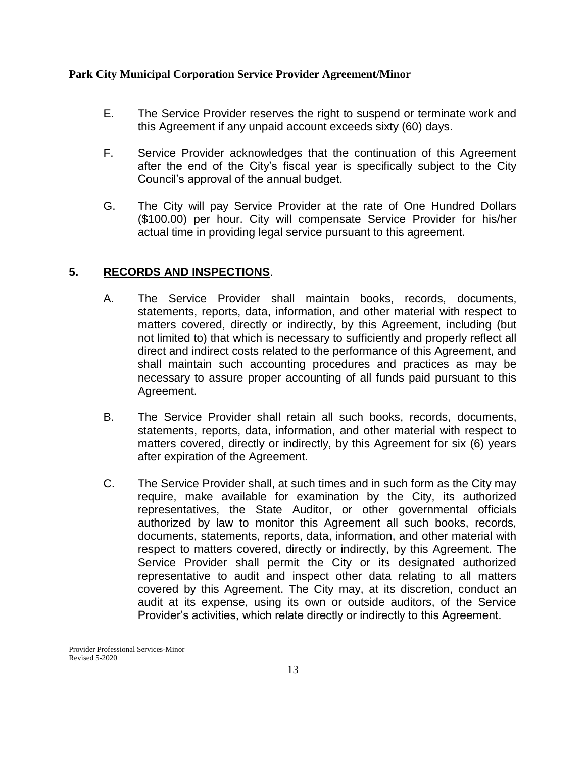- E. The Service Provider reserves the right to suspend or terminate work and this Agreement if any unpaid account exceeds sixty (60) days.
- F. Service Provider acknowledges that the continuation of this Agreement after the end of the City's fiscal year is specifically subject to the City Council's approval of the annual budget.
- G. The City will pay Service Provider at the rate of One Hundred Dollars (\$100.00) per hour. City will compensate Service Provider for his/her actual time in providing legal service pursuant to this agreement.

## **5. RECORDS AND INSPECTIONS**.

- A. The Service Provider shall maintain books, records, documents, statements, reports, data, information, and other material with respect to matters covered, directly or indirectly, by this Agreement, including (but not limited to) that which is necessary to sufficiently and properly reflect all direct and indirect costs related to the performance of this Agreement, and shall maintain such accounting procedures and practices as may be necessary to assure proper accounting of all funds paid pursuant to this Agreement.
- B. The Service Provider shall retain all such books, records, documents, statements, reports, data, information, and other material with respect to matters covered, directly or indirectly, by this Agreement for six (6) years after expiration of the Agreement.
- C. The Service Provider shall, at such times and in such form as the City may require, make available for examination by the City, its authorized representatives, the State Auditor, or other governmental officials authorized by law to monitor this Agreement all such books, records, documents, statements, reports, data, information, and other material with respect to matters covered, directly or indirectly, by this Agreement. The Service Provider shall permit the City or its designated authorized representative to audit and inspect other data relating to all matters covered by this Agreement. The City may, at its discretion, conduct an audit at its expense, using its own or outside auditors, of the Service Provider's activities, which relate directly or indirectly to this Agreement.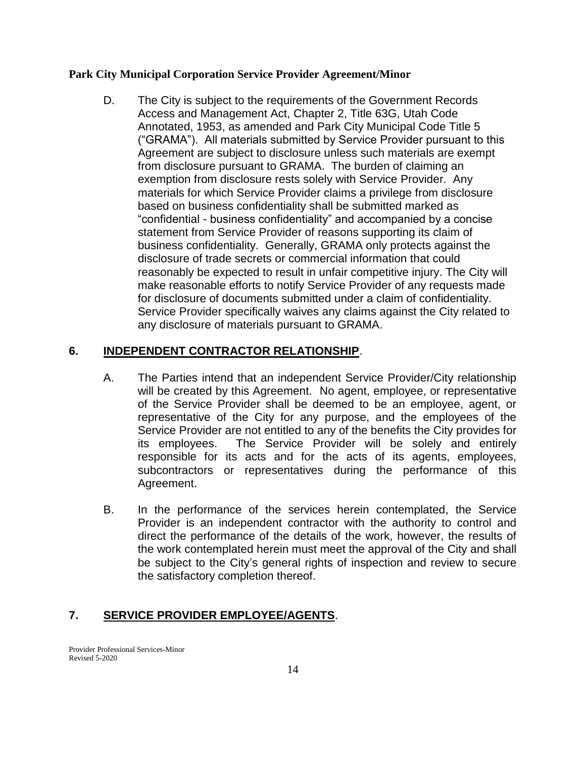D. The City is subject to the requirements of the Government Records Access and Management Act, Chapter 2, Title 63G, Utah Code Annotated, 1953, as amended and Park City Municipal Code Title 5 ("GRAMA"). All materials submitted by Service Provider pursuant to this Agreement are subject to disclosure unless such materials are exempt from disclosure pursuant to GRAMA. The burden of claiming an exemption from disclosure rests solely with Service Provider. Any materials for which Service Provider claims a privilege from disclosure based on business confidentiality shall be submitted marked as "confidential - business confidentiality" and accompanied by a concise statement from Service Provider of reasons supporting its claim of business confidentiality. Generally, GRAMA only protects against the disclosure of trade secrets or commercial information that could reasonably be expected to result in unfair competitive injury. The City will make reasonable efforts to notify Service Provider of any requests made for disclosure of documents submitted under a claim of confidentiality. Service Provider specifically waives any claims against the City related to any disclosure of materials pursuant to GRAMA.

## **6. INDEPENDENT CONTRACTOR RELATIONSHIP**.

- A. The Parties intend that an independent Service Provider/City relationship will be created by this Agreement. No agent, employee, or representative of the Service Provider shall be deemed to be an employee, agent, or representative of the City for any purpose, and the employees of the Service Provider are not entitled to any of the benefits the City provides for its employees. The Service Provider will be solely and entirely responsible for its acts and for the acts of its agents, employees, subcontractors or representatives during the performance of this Agreement.
- B. In the performance of the services herein contemplated, the Service Provider is an independent contractor with the authority to control and direct the performance of the details of the work, however, the results of the work contemplated herein must meet the approval of the City and shall be subject to the City's general rights of inspection and review to secure the satisfactory completion thereof.

## **7. SERVICE PROVIDER EMPLOYEE/AGENTS**.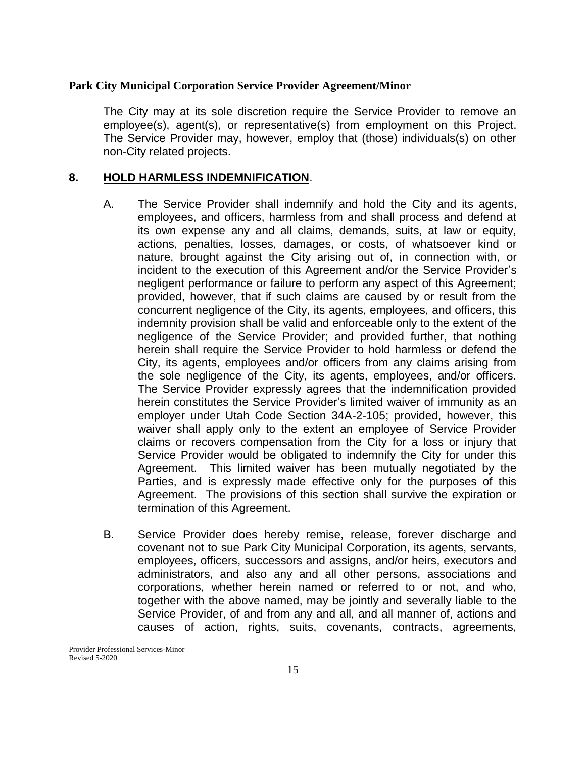The City may at its sole discretion require the Service Provider to remove an employee(s), agent(s), or representative(s) from employment on this Project. The Service Provider may, however, employ that (those) individuals(s) on other non-City related projects.

## **8. HOLD HARMLESS INDEMNIFICATION**.

- A. The Service Provider shall indemnify and hold the City and its agents, employees, and officers, harmless from and shall process and defend at its own expense any and all claims, demands, suits, at law or equity, actions, penalties, losses, damages, or costs, of whatsoever kind or nature, brought against the City arising out of, in connection with, or incident to the execution of this Agreement and/or the Service Provider's negligent performance or failure to perform any aspect of this Agreement; provided, however, that if such claims are caused by or result from the concurrent negligence of the City, its agents, employees, and officers, this indemnity provision shall be valid and enforceable only to the extent of the negligence of the Service Provider; and provided further, that nothing herein shall require the Service Provider to hold harmless or defend the City, its agents, employees and/or officers from any claims arising from the sole negligence of the City, its agents, employees, and/or officers. The Service Provider expressly agrees that the indemnification provided herein constitutes the Service Provider's limited waiver of immunity as an employer under Utah Code Section 34A-2-105; provided, however, this waiver shall apply only to the extent an employee of Service Provider claims or recovers compensation from the City for a loss or injury that Service Provider would be obligated to indemnify the City for under this Agreement. This limited waiver has been mutually negotiated by the Parties, and is expressly made effective only for the purposes of this Agreement. The provisions of this section shall survive the expiration or termination of this Agreement.
- B. Service Provider does hereby remise, release, forever discharge and covenant not to sue Park City Municipal Corporation, its agents, servants, employees, officers, successors and assigns, and/or heirs, executors and administrators, and also any and all other persons, associations and corporations, whether herein named or referred to or not, and who, together with the above named, may be jointly and severally liable to the Service Provider, of and from any and all, and all manner of, actions and causes of action, rights, suits, covenants, contracts, agreements,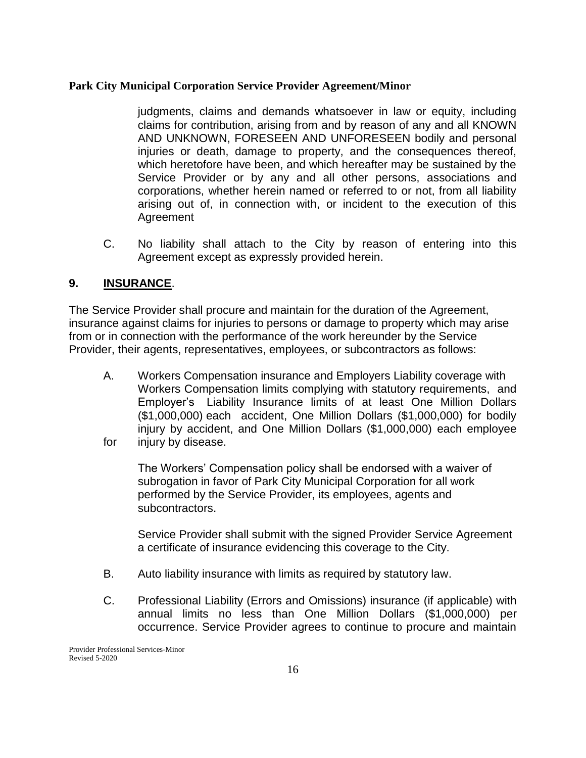judgments, claims and demands whatsoever in law or equity, including claims for contribution, arising from and by reason of any and all KNOWN AND UNKNOWN, FORESEEN AND UNFORESEEN bodily and personal injuries or death, damage to property, and the consequences thereof, which heretofore have been, and which hereafter may be sustained by the Service Provider or by any and all other persons, associations and corporations, whether herein named or referred to or not, from all liability arising out of, in connection with, or incident to the execution of this Agreement

C. No liability shall attach to the City by reason of entering into this Agreement except as expressly provided herein.

## **9. INSURANCE**.

The Service Provider shall procure and maintain for the duration of the Agreement, insurance against claims for injuries to persons or damage to property which may arise from or in connection with the performance of the work hereunder by the Service Provider, their agents, representatives, employees, or subcontractors as follows:

A. Workers Compensation insurance and Employers Liability coverage with Workers Compensation limits complying with statutory requirements, and Employer's Liability Insurance limits of at least One Million Dollars (\$1,000,000) each accident, One Million Dollars (\$1,000,000) for bodily injury by accident, and One Million Dollars (\$1,000,000) each employee for injury by disease.

The Workers' Compensation policy shall be endorsed with a waiver of subrogation in favor of Park City Municipal Corporation for all work performed by the Service Provider, its employees, agents and subcontractors.

Service Provider shall submit with the signed Provider Service Agreement a certificate of insurance evidencing this coverage to the City.

- B. Auto liability insurance with limits as required by statutory law.
- C. Professional Liability (Errors and Omissions) insurance (if applicable) with annual limits no less than One Million Dollars (\$1,000,000) per occurrence. Service Provider agrees to continue to procure and maintain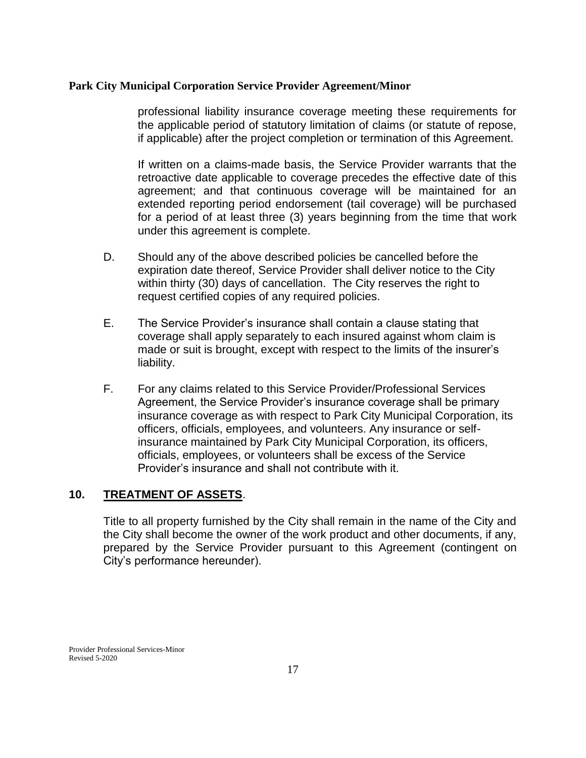professional liability insurance coverage meeting these requirements for the applicable period of statutory limitation of claims (or statute of repose, if applicable) after the project completion or termination of this Agreement.

If written on a claims-made basis, the Service Provider warrants that the retroactive date applicable to coverage precedes the effective date of this agreement; and that continuous coverage will be maintained for an extended reporting period endorsement (tail coverage) will be purchased for a period of at least three (3) years beginning from the time that work under this agreement is complete.

- D. Should any of the above described policies be cancelled before the expiration date thereof, Service Provider shall deliver notice to the City within thirty (30) days of cancellation. The City reserves the right to request certified copies of any required policies.
- E. The Service Provider's insurance shall contain a clause stating that coverage shall apply separately to each insured against whom claim is made or suit is brought, except with respect to the limits of the insurer's liability.
- F. For any claims related to this Service Provider/Professional Services Agreement, the Service Provider's insurance coverage shall be primary insurance coverage as with respect to Park City Municipal Corporation, its officers, officials, employees, and volunteers. Any insurance or selfinsurance maintained by Park City Municipal Corporation, its officers, officials, employees, or volunteers shall be excess of the Service Provider's insurance and shall not contribute with it.

## **10. TREATMENT OF ASSETS**.

Title to all property furnished by the City shall remain in the name of the City and the City shall become the owner of the work product and other documents, if any, prepared by the Service Provider pursuant to this Agreement (contingent on City's performance hereunder).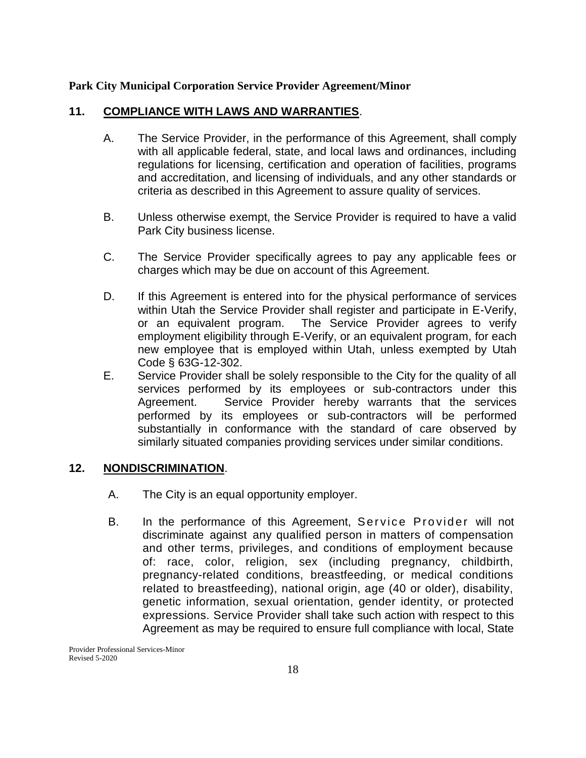## **11. COMPLIANCE WITH LAWS AND WARRANTIES**.

- A. The Service Provider, in the performance of this Agreement, shall comply with all applicable federal, state, and local laws and ordinances, including regulations for licensing, certification and operation of facilities, programs and accreditation, and licensing of individuals, and any other standards or criteria as described in this Agreement to assure quality of services.
- B. Unless otherwise exempt, the Service Provider is required to have a valid Park City business license.
- C. The Service Provider specifically agrees to pay any applicable fees or charges which may be due on account of this Agreement.
- D. If this Agreement is entered into for the physical performance of services within Utah the Service Provider shall register and participate in E-Verify, or an equivalent program. The Service Provider agrees to verify employment eligibility through E-Verify, or an equivalent program, for each new employee that is employed within Utah, unless exempted by Utah Code § 63G-12-302.
- E. Service Provider shall be solely responsible to the City for the quality of all services performed by its employees or sub-contractors under this Agreement. Service Provider hereby warrants that the services performed by its employees or sub-contractors will be performed substantially in conformance with the standard of care observed by similarly situated companies providing services under similar conditions.

## **12. NONDISCRIMINATION**.

- A. The City is an equal opportunity employer.
- B. In the performance of this Agreement, Service Provider will not discriminate against any qualified person in matters of compensation and other terms, privileges, and conditions of employment because of: race, color, religion, sex (including pregnancy, childbirth, pregnancy-related conditions, breastfeeding, or medical conditions related to breastfeeding), national origin, age (40 or older), disability, genetic information, sexual orientation, gender identity, or protected expressions. Service Provider shall take such action with respect to this Agreement as may be required to ensure full compliance with local, State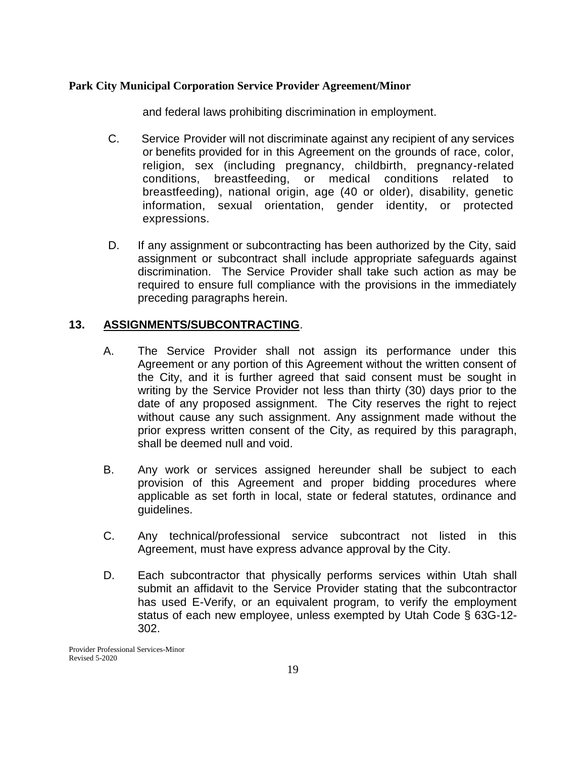and federal laws prohibiting discrimination in employment.

- C. Service Provider will not discriminate against any recipient of any services or benefits provided for in this Agreement on the grounds of race, color, religion, sex (including pregnancy, childbirth, pregnancy-related conditions, breastfeeding, or medical conditions related to breastfeeding), national origin, age (40 or older), disability, genetic information, sexual orientation, gender identity, or protected expressions.
- D. If any assignment or subcontracting has been authorized by the City, said assignment or subcontract shall include appropriate safeguards against discrimination. The Service Provider shall take such action as may be required to ensure full compliance with the provisions in the immediately preceding paragraphs herein.

## **13. ASSIGNMENTS/SUBCONTRACTING**.

- A. The Service Provider shall not assign its performance under this Agreement or any portion of this Agreement without the written consent of the City, and it is further agreed that said consent must be sought in writing by the Service Provider not less than thirty (30) days prior to the date of any proposed assignment. The City reserves the right to reject without cause any such assignment. Any assignment made without the prior express written consent of the City, as required by this paragraph, shall be deemed null and void.
- B. Any work or services assigned hereunder shall be subject to each provision of this Agreement and proper bidding procedures where applicable as set forth in local, state or federal statutes, ordinance and guidelines.
- C. Any technical/professional service subcontract not listed in this Agreement, must have express advance approval by the City.
- D. Each subcontractor that physically performs services within Utah shall submit an affidavit to the Service Provider stating that the subcontractor has used E-Verify, or an equivalent program, to verify the employment status of each new employee, unless exempted by Utah Code § 63G-12- 302.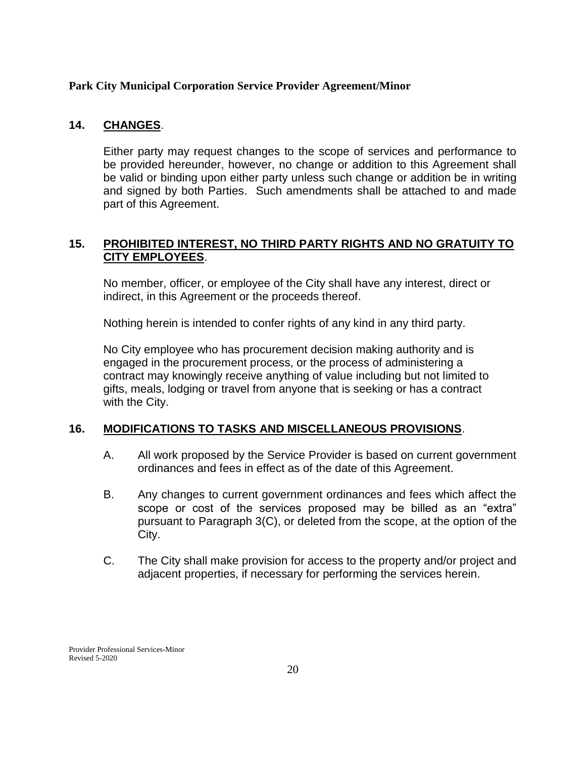## **14. CHANGES**.

Either party may request changes to the scope of services and performance to be provided hereunder, however, no change or addition to this Agreement shall be valid or binding upon either party unless such change or addition be in writing and signed by both Parties. Such amendments shall be attached to and made part of this Agreement.

## **15. PROHIBITED INTEREST, NO THIRD PARTY RIGHTS AND NO GRATUITY TO CITY EMPLOYEES**.

No member, officer, or employee of the City shall have any interest, direct or indirect, in this Agreement or the proceeds thereof.

Nothing herein is intended to confer rights of any kind in any third party.

No City employee who has procurement decision making authority and is engaged in the procurement process, or the process of administering a contract may knowingly receive anything of value including but not limited to gifts, meals, lodging or travel from anyone that is seeking or has a contract with the City.

## **16. MODIFICATIONS TO TASKS AND MISCELLANEOUS PROVISIONS**.

- A. All work proposed by the Service Provider is based on current government ordinances and fees in effect as of the date of this Agreement.
- B. Any changes to current government ordinances and fees which affect the scope or cost of the services proposed may be billed as an "extra" pursuant to Paragraph 3(C), or deleted from the scope, at the option of the City.
- C. The City shall make provision for access to the property and/or project and adjacent properties, if necessary for performing the services herein.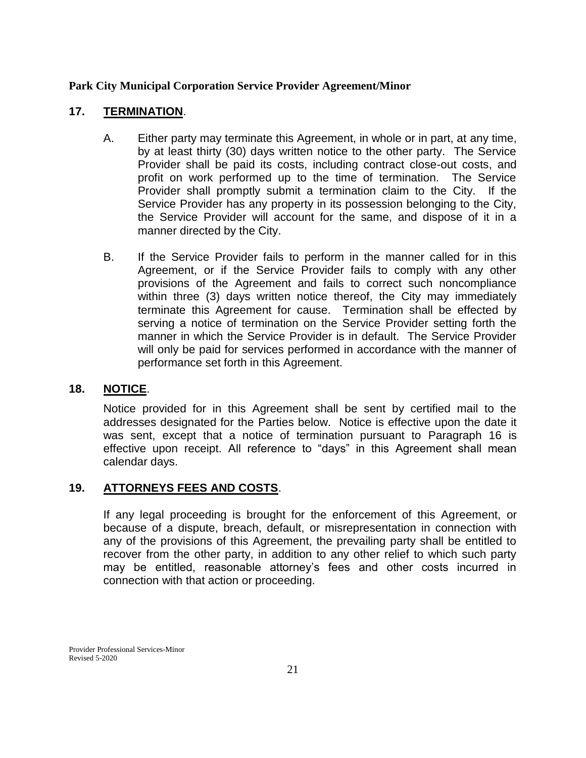## **17. TERMINATION**.

- A. Either party may terminate this Agreement, in whole or in part, at any time, by at least thirty (30) days written notice to the other party. The Service Provider shall be paid its costs, including contract close-out costs, and profit on work performed up to the time of termination. The Service Provider shall promptly submit a termination claim to the City. If the Service Provider has any property in its possession belonging to the City, the Service Provider will account for the same, and dispose of it in a manner directed by the City.
- B. If the Service Provider fails to perform in the manner called for in this Agreement, or if the Service Provider fails to comply with any other provisions of the Agreement and fails to correct such noncompliance within three (3) days written notice thereof, the City may immediately terminate this Agreement for cause. Termination shall be effected by serving a notice of termination on the Service Provider setting forth the manner in which the Service Provider is in default. The Service Provider will only be paid for services performed in accordance with the manner of performance set forth in this Agreement.

#### **18. NOTICE**.

Notice provided for in this Agreement shall be sent by certified mail to the addresses designated for the Parties below. Notice is effective upon the date it was sent, except that a notice of termination pursuant to Paragraph 16 is effective upon receipt. All reference to "days" in this Agreement shall mean calendar days.

## **19. ATTORNEYS FEES AND COSTS**.

If any legal proceeding is brought for the enforcement of this Agreement, or because of a dispute, breach, default, or misrepresentation in connection with any of the provisions of this Agreement, the prevailing party shall be entitled to recover from the other party, in addition to any other relief to which such party may be entitled, reasonable attorney's fees and other costs incurred in connection with that action or proceeding.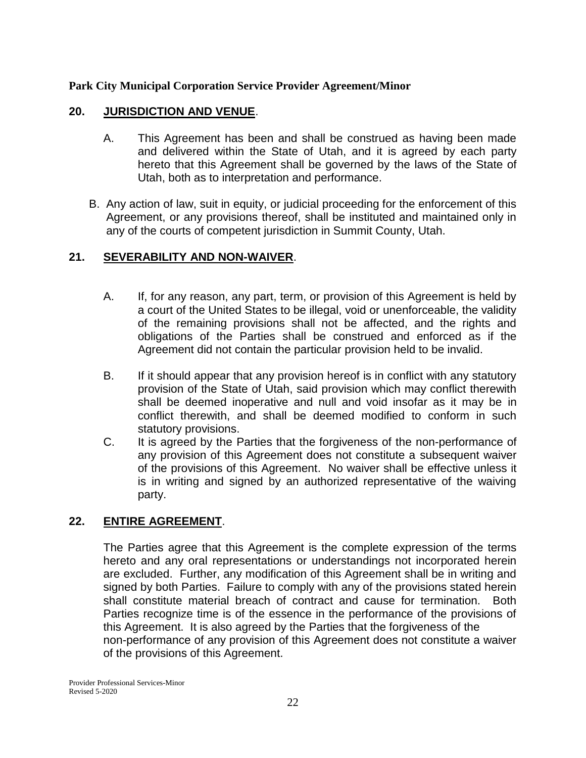## **20. JURISDICTION AND VENUE**.

- A. This Agreement has been and shall be construed as having been made and delivered within the State of Utah, and it is agreed by each party hereto that this Agreement shall be governed by the laws of the State of Utah, both as to interpretation and performance.
- B. Any action of law, suit in equity, or judicial proceeding for the enforcement of this Agreement, or any provisions thereof, shall be instituted and maintained only in any of the courts of competent jurisdiction in Summit County, Utah.

## **21. SEVERABILITY AND NON-WAIVER**.

- A. If, for any reason, any part, term, or provision of this Agreement is held by a court of the United States to be illegal, void or unenforceable, the validity of the remaining provisions shall not be affected, and the rights and obligations of the Parties shall be construed and enforced as if the Agreement did not contain the particular provision held to be invalid.
- B. If it should appear that any provision hereof is in conflict with any statutory provision of the State of Utah, said provision which may conflict therewith shall be deemed inoperative and null and void insofar as it may be in conflict therewith, and shall be deemed modified to conform in such statutory provisions.
- C. It is agreed by the Parties that the forgiveness of the non-performance of any provision of this Agreement does not constitute a subsequent waiver of the provisions of this Agreement. No waiver shall be effective unless it is in writing and signed by an authorized representative of the waiving party.

## **22. ENTIRE AGREEMENT**.

The Parties agree that this Agreement is the complete expression of the terms hereto and any oral representations or understandings not incorporated herein are excluded. Further, any modification of this Agreement shall be in writing and signed by both Parties. Failure to comply with any of the provisions stated herein shall constitute material breach of contract and cause for termination. Both Parties recognize time is of the essence in the performance of the provisions of this Agreement. It is also agreed by the Parties that the forgiveness of the non-performance of any provision of this Agreement does not constitute a waiver of the provisions of this Agreement.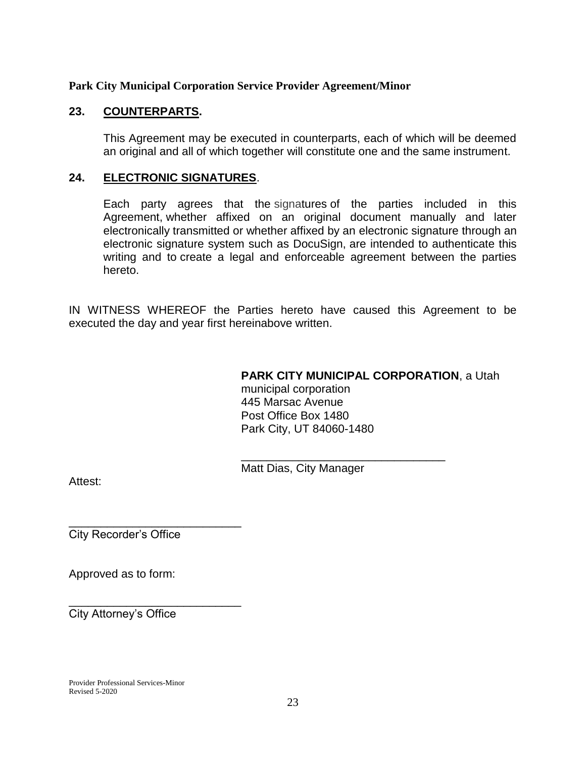## **23. COUNTERPARTS.**

This Agreement may be executed in counterparts, each of which will be deemed an original and all of which together will constitute one and the same instrument.

## **24. ELECTRONIC SIGNATURES**.

Each party agrees that the signatures of the parties included in this Agreement, whether affixed on an original document manually and later electronically transmitted or whether affixed by an electronic signature through an electronic signature system such as DocuSign, are intended to authenticate this writing and to create a legal and enforceable agreement between the parties hereto.

IN WITNESS WHEREOF the Parties hereto have caused this Agreement to be executed the day and year first hereinabove written.

## **PARK CITY MUNICIPAL CORPORATION**, a Utah

municipal corporation 445 Marsac Avenue Post Office Box 1480 Park City, UT 84060-1480

Matt Dias, City Manager

\_\_\_\_\_\_\_\_\_\_\_\_\_\_\_\_\_\_\_\_\_\_\_\_\_\_\_\_\_\_\_\_

Attest:

City Recorder's Office

\_\_\_\_\_\_\_\_\_\_\_\_\_\_\_\_\_\_\_\_\_\_\_\_\_\_\_

\_\_\_\_\_\_\_\_\_\_\_\_\_\_\_\_\_\_\_\_\_\_\_\_\_\_\_

Approved as to form:

City Attorney's Office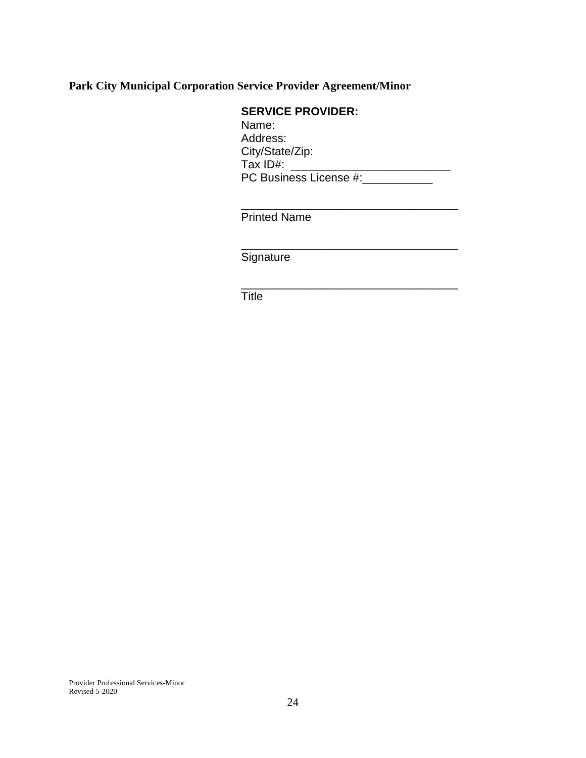## **SERVICE PROVIDER:**

Name: Address: City/State/Zip: Tax ID#: \_\_\_\_\_\_\_\_\_\_\_\_\_\_\_\_\_\_\_\_\_\_\_\_\_ PC Business License #:\_\_\_\_\_\_\_\_\_\_\_

\_\_\_\_\_\_\_\_\_\_\_\_\_\_\_\_\_\_\_\_\_\_\_\_\_\_\_\_\_\_\_\_\_\_

\_\_\_\_\_\_\_\_\_\_\_\_\_\_\_\_\_\_\_\_\_\_\_\_\_\_\_\_\_\_\_\_\_\_

\_\_\_\_\_\_\_\_\_\_\_\_\_\_\_\_\_\_\_\_\_\_\_\_\_\_\_\_\_\_\_\_\_\_

Printed Name

**Signature** 

**Title**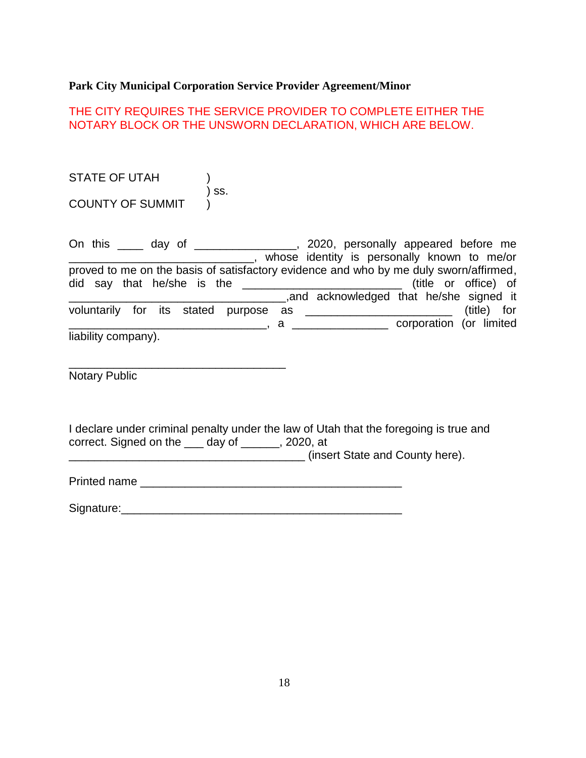## THE CITY REQUIRES THE SERVICE PROVIDER TO COMPLETE EITHER THE NOTARY BLOCK OR THE UNSWORN DECLARATION, WHICH ARE BELOW.

STATE OF UTAH ) ) ss. COUNTY OF SUMMIT

\_\_\_\_\_\_\_\_\_\_\_\_\_\_\_\_\_\_\_\_\_\_\_\_\_\_\_\_\_\_\_\_\_\_

| On this _____ day of __________________, 2020, personally appeared before me          |  |  |                                             |  |                         |  |
|---------------------------------------------------------------------------------------|--|--|---------------------------------------------|--|-------------------------|--|
|                                                                                       |  |  | whose identity is personally known to me/or |  |                         |  |
| proved to me on the basis of satisfactory evidence and who by me duly sworn/affirmed, |  |  |                                             |  |                         |  |
|                                                                                       |  |  |                                             |  |                         |  |
|                                                                                       |  |  | and acknowledged that he/she signed it      |  |                         |  |
|                                                                                       |  |  |                                             |  | (title) for             |  |
|                                                                                       |  |  | $a \fbox{---}$                              |  | corporation (or limited |  |
| liability company).                                                                   |  |  |                                             |  |                         |  |

Notary Public

I declare under criminal penalty under the law of Utah that the foregoing is true and correct. Signed on the \_\_\_ day of \_\_\_\_\_\_, 2020, at

\_\_\_\_\_\_\_\_\_\_\_\_\_\_\_\_\_\_\_\_\_\_\_\_\_\_\_\_\_\_\_\_\_\_\_\_\_ (insert State and County here).

Printed name **Executive 2008** 

Signature:\_\_\_\_\_\_\_\_\_\_\_\_\_\_\_\_\_\_\_\_\_\_\_\_\_\_\_\_\_\_\_\_\_\_\_\_\_\_\_\_\_\_\_\_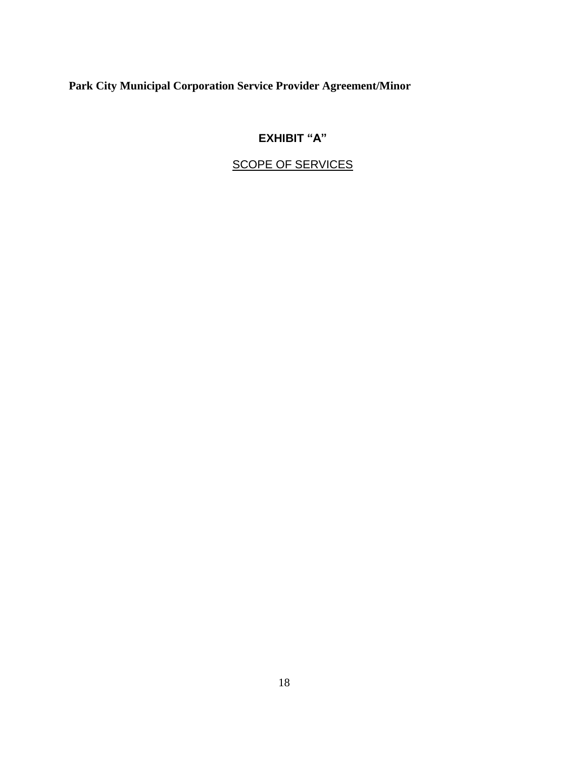## **EXHIBIT "A"**

## SCOPE OF SERVICES